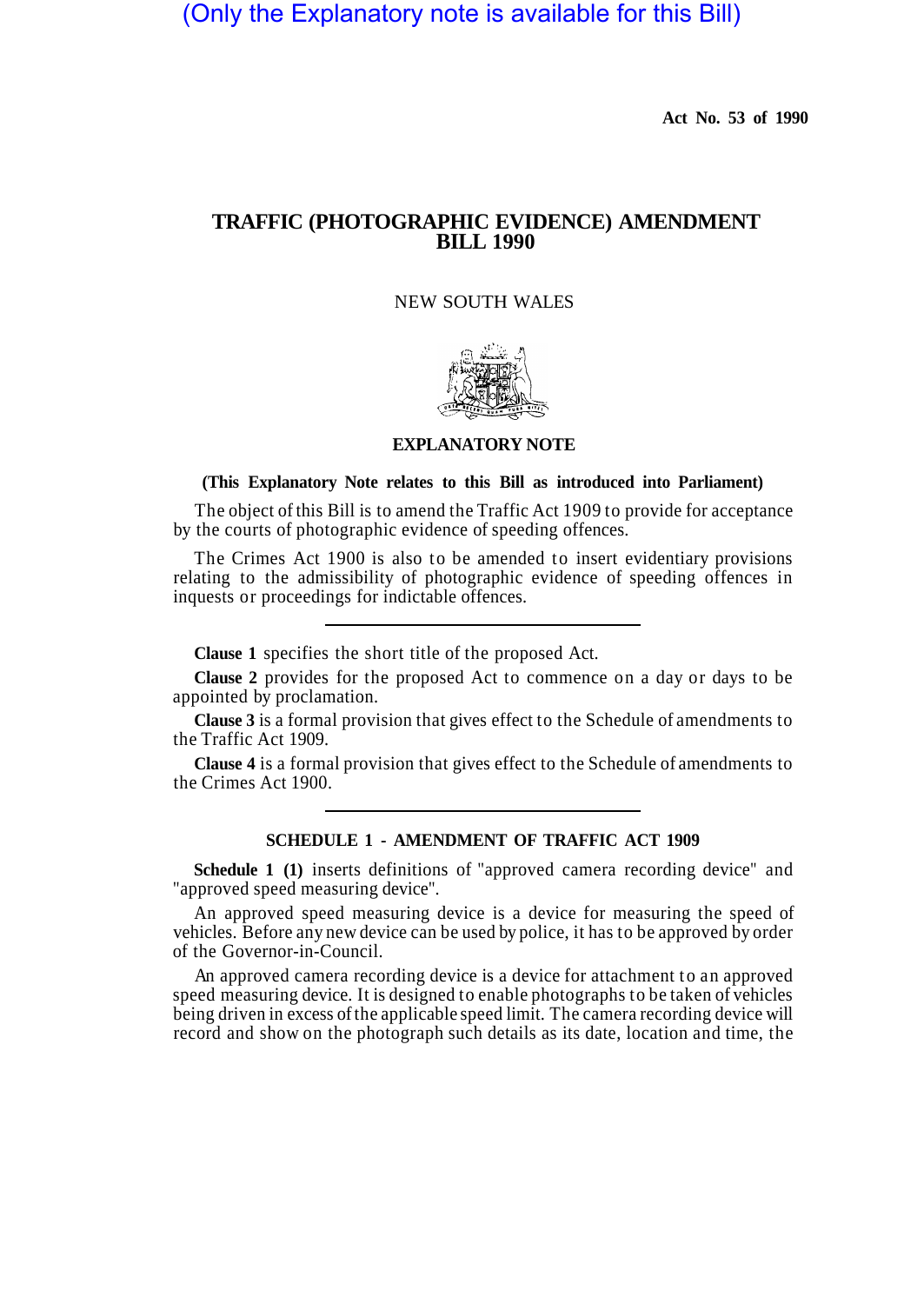(Only the Explanatory note is available for this Bill)

**Act No. 53 of 1990** 

# **TRAFFIC (PHOTOGRAPHIC EVIDENCE) AMENDMENT BILL 1990**

## NEW SOUTH WALES



#### **EXPLANATORY NOTE**

### **(This Explanatory Note relates to this Bill as introduced into Parliament)**

The object of this Bill is to amend the Traffic Act 1909 to provide for acceptance by the courts of photographic evidence of speeding offences.

The Crimes Act 1900 is also to be amended to insert evidentiary provisions relating to the admissibility of photographic evidence of speeding offences in inquests or proceedings for indictable offences.

**Clause 1** specifies the short title of the proposed Act.

**Clause 2** provides for the proposed Act to commence on a day or days to be appointed by proclamation.

**Clause 3** is a formal provision that gives effect to the Schedule of amendments to the Traffic Act 1909.

**Clause 4** is a formal provision that gives effect to the Schedule of amendments to the Crimes Act 1900.

## **SCHEDULE 1 - AMENDMENT OF TRAFFIC ACT 1909**

**Schedule 1 (1)** inserts definitions of "approved camera recording device" and "approved speed measuring device".

An approved speed measuring device is a device for measuring the speed of vehicles. Before any new device can be used by police, it has to be approved by order of the Governor-in-Council.

An approved camera recording device is a device for attachment to an approved speed measuring device. It is designed to enable photographs to be taken of vehicles being driven in excess of the applicable speed limit. The camera recording device will record and show on the photograph such details as its date, location and time, the